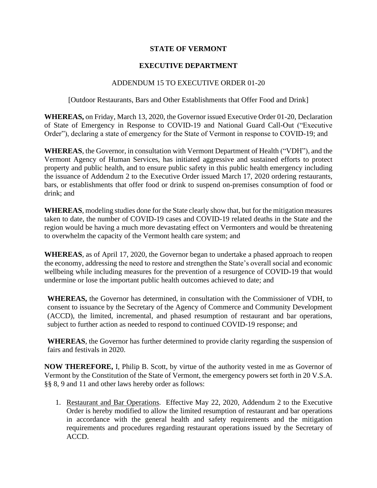## **STATE OF VERMONT**

## **EXECUTIVE DEPARTMENT**

## ADDENDUM 15 TO EXECUTIVE ORDER 01-20

## [Outdoor Restaurants, Bars and Other Establishments that Offer Food and Drink]

**WHEREAS,** on Friday, March 13, 2020, the Governor issued Executive Order 01-20, Declaration of State of Emergency in Response to COVID-19 and National Guard Call-Out ("Executive Order"), declaring a state of emergency for the State of Vermont in response to COVID-19; and

**WHEREAS**, the Governor, in consultation with Vermont Department of Health ("VDH"), and the Vermont Agency of Human Services, has initiated aggressive and sustained efforts to protect property and public health, and to ensure public safety in this public health emergency including the issuance of Addendum 2 to the Executive Order issued March 17, 2020 ordering restaurants, bars, or establishments that offer food or drink to suspend on-premises consumption of food or drink; and

**WHEREAS**, modeling studies done for the State clearly show that, but for the mitigation measures taken to date, the number of COVID-19 cases and COVID-19 related deaths in the State and the region would be having a much more devastating effect on Vermonters and would be threatening to overwhelm the capacity of the Vermont health care system; and

**WHEREAS**, as of April 17, 2020, the Governor began to undertake a phased approach to reopen the economy, addressing the need to restore and strengthen the State's overall social and economic wellbeing while including measures for the prevention of a resurgence of COVID-19 that would undermine or lose the important public health outcomes achieved to date; and

**WHEREAS,** the Governor has determined, in consultation with the Commissioner of VDH, to consent to issuance by the Secretary of the Agency of Commerce and Community Development (ACCD), the limited, incremental, and phased resumption of restaurant and bar operations, subject to further action as needed to respond to continued COVID-19 response; and

**WHEREAS**, the Governor has further determined to provide clarity regarding the suspension of fairs and festivals in 2020.

**NOW THEREFORE,** I, Philip B. Scott, by virtue of the authority vested in me as Governor of Vermont by the Constitution of the State of Vermont, the emergency powers set forth in 20 V.S.A. §§ 8, 9 and 11 and other laws hereby order as follows:

1. Restaurant and Bar Operations. Effective May 22, 2020, Addendum 2 to the Executive Order is hereby modified to allow the limited resumption of restaurant and bar operations in accordance with the general health and safety requirements and the mitigation requirements and procedures regarding restaurant operations issued by the Secretary of ACCD.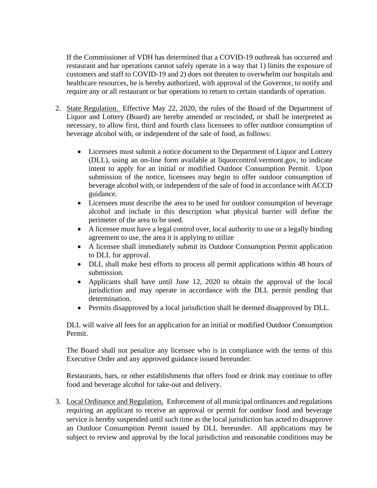If the Commissioner of VDH has determined that a COVID-19 outbreak has occurred and restaurant and bar operations cannot safely operate in a way that 1) limits the exposure of customers and staff to COVID-19 and 2) does not threaten to overwhelm our hospitals and healthcare resources, he is hereby authorized, with approval of the Governor, to notify and require any or all restaurant or bar operations to return to certain standards of operation.

- 2. State Regulation. Effective May 22, 2020, the rules of the Board of the Department of Liquor and Lottery (Board) are hereby amended or rescinded, or shall be interpreted as necessary, to allow first, third and fourth class licensees to offer outdoor consumption of beverage alcohol with, or independent of the sale of food, as follows:
	- Licensees must submit a notice document to the Department of Liquor and Lottery (DLL), using an on-line form available at liquorcontrol.vermont.gov, to indicate intent to apply for an initial or modified Outdoor Consumption Permit. Upon submission of the notice, licensees may begin to offer outdoor consumption of beverage alcohol with, or independent of the sale of food in accordance with ACCD guidance.
	- Licensees must describe the area to be used for outdoor consumption of beverage alcohol and include in this description what physical barrier will define the perimeter of the area to be used.
	- A licensee must have a legal control over, local authority to use or a legally binding agreement to use, the area it is applying to utilize
	- A licensee shall immediately submit its Outdoor Consumption Permit application to DLL for approval.
	- DLL shall make best efforts to process all permit applications within 48 hours of submission.
	- Applicants shall have until June 12, 2020 to obtain the approval of the local jurisdiction and may operate in accordance with the DLL permit pending that determination.
	- Permits disapproved by a local jurisdiction shall be deemed disapproved by DLL.

DLL will waive all fees for an application for an initial or modified Outdoor Consumption Permit.

The Board shall not penalize any licensee who is in compliance with the terms of this Executive Order and any approved guidance issued hereunder.

Restaurants, bars, or other establishments that offers food or drink may continue to offer food and beverage alcohol for take-out and delivery.

3. Local Ordinance and Regulation. Enforcement of all municipal ordinances and regulations requiring an applicant to receive an approval or permit for outdoor food and beverage service is hereby suspended until such time as the local jurisdiction has acted to disapprove an Outdoor Consumption Permit issued by DLL hereunder. All applications may be subject to review and approval by the local jurisdiction and reasonable conditions may be